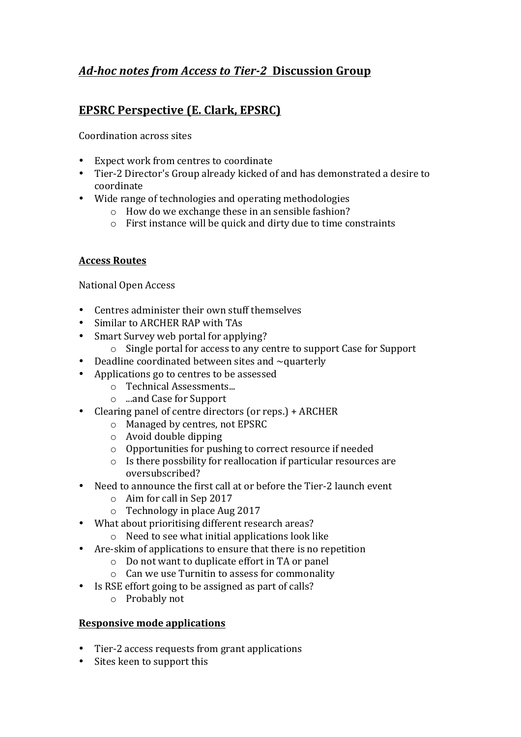# *Ad-hoc notes from Access to Tier-2*  **Discussion Group**

# **EPSRC Perspective (E. Clark, EPSRC)**

Coordination across sites

- Expect work from centres to coordinate
- Tier-2 Director's Group already kicked of and has demonstrated a desire to coordinate
- Wide range of technologies and operating methodologies
	- $\circ$  How do we exchange these in an sensible fashion?
	- $\circ$  First instance will be quick and dirty due to time constraints

#### **Access Routes**

National Open Access

- $\bullet$  Centres administer their own stuff themselves
- Similar to ARCHER RAP with TAs
- Smart Survey web portal for applying?
	- $\circ$  Single portal for access to any centre to support Case for Support
- Deadline coordinated between sites and  $\sim$  quarterly
- Applications go to centres to be assessed
	- o Technical Assessments...
	- o ...and Case for Support
- Clearing panel of centre directors (or reps.) + ARCHER
	- o Managed by centres, not EPSRC
	- $\circ$  Avoid double dipping
	- $\circ$  Opportunities for pushing to correct resource if needed
	- $\circ$  Is there possbility for reallocation if particular resources are oversubscribed?
- Need to announce the first call at or before the Tier-2 launch event
	- $\circ$  Aim for call in Sep 2017
	- $\circ$  Technology in place Aug 2017
- What about prioritising different research areas?
	- $\circ$  Need to see what initial applications look like
- Are-skim of applications to ensure that there is no repetition
	- $\circ$  Do not want to duplicate effort in TA or panel
	- $\circ$  Can we use Turnitin to assess for commonality
- Is RSE effort going to be assigned as part of calls?
	- $\circ$  Probably not

#### **Responsive mode applications**

- Tier-2 access requests from grant applications
- Sites keen to support this